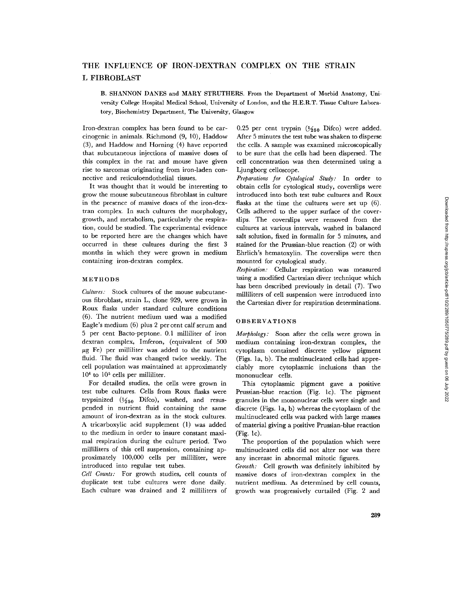# THE INFLUENCE OF IRON-DEXTRAN COMPLEX ON THE STRAIN L FIBROBLAST

B. SHANNON DANES and MARY STRUTHERS. From the Department of Morbid Anatomy, University College Hospital Medical School, University of London, and the H.E.R.T. Tissue Culture Laboratory, Biochemistry Department, The University, Glasgow

Iron-dextran complex has been found to be carcinogenic in animals. Richmond (9, 10), Haddow (3), and Haddow and Horning (4) have reported that subcutaneous injections of massive doses of this complex in the rat and mouse have given rise to sarcomas originating from iron-laden connective and reticuloendothelial tissues.

It was thought that it would be interesting to grow the mouse subcutaneous fibroblast in culture in the presence of massive doses of the iron-dextran complex. In such cultures the morphology, growth, and metabolism, particularly the respiration, could be studied. The experimental evidence to be reported here are the changes which have occurred in these cultures during the first 3 months in which they were grown in medium containing iron-dextran complex.

## METHODS

*Cultures:* Stock cultures of the mouse subcutaneous fibroblast, strain L, clone 929, were grown in Roux flasks under standard culture conditions (6). The nutrient medium used was a modified Eagle's medium (6) plus 2 per cent calf serum and 5 per cent Bacto-peptone. 0.1 milliliter of iron dextran complex, Imferon, (equivalent of 500  $\mu$ g Fe) per milliliter was added to the nutrient fluid. The fluid was changed twice weekly. The cell population was maintained at approximately 104 to 105 cells per milliliter.

For detailed studies, the cells were grown in test tube cultures. Cells from Roux flasks were trypsinized ( $\frac{1}{250}$  Difco), washed, and resuspended in nutrient fluid containing the same amount of iron-dextran as in the stock cultures. A tricarboxylic acid supplement (1) was added to the medium in order to insure constant maximal respiration during the culture period. Two milliliters of this cell suspension, containing approximately 100,000 cells per milliliter, were introduced into regular test tubes.

*Cell Counts:* For growth studies, cell counts of duplicate test tube cultures were done daily. Each culture was drained and 2 milliliters of 0.25 per cent trypsin ( $\frac{1}{250}$  Difco) were added. After 5 minutes the test tube was shaken to disperse the cells. A sample was examined microscopically to be sure that the cells had been dispersed. The cell concentration was then determined using a Ljungborg celloscope.

*Preparations for Cytological Study:* In order to obtain cells for cytological study, coverslips were introduced into both test tube cultures and Roux flasks at the time the cultures were set up (6). Cells adhered to the upper surface of the coverslips. The coverslips were removed from the cultures at various intervals, washed in balanced salt solution, fixed in formalin for 5 minutes, and stained for the Prussian-blue reaction (2) or with Ehrlich's hematoxylin. The coverslips were then mounted for cytological study.

*Respiration."* Cellular respiration was measured using a modified Cartesian diver technique which has been described previously in detail (7). Two milliliters of cell suspension were introduced into the Cartesian diver for respiration determinations.

## OBSERVATIONS

*Morphology:* Soon after the cells were grown in medium containing iron-dextran complex, the cytoplasm contained discrete yellow pigment (Figs. la, b). The multinucleated cells had appreciably more cytoplasmic inclusions than the mononuclear cells.

This cytoplasmic pigment gave a positive Prussian-blue reaction (Fig. lc). The pigment granules in the mononuclear cells were single and discrete (Figs. la, b) whereas the cytoplasm of the rnultinucleated cells was packed with large masses of material giving a positive Prussian-blue reaction (Fig. lc).

The proportion of the population which were multinucleated cells did not alter nor was there any increase in abnormal mitotic figures.

*Growth:* Cell growth was definitely inhibited by massive doses of iron-dextran complex in the nutrient medium. As determined by cell counts, growth was progressively curtailed (Fig. 2 and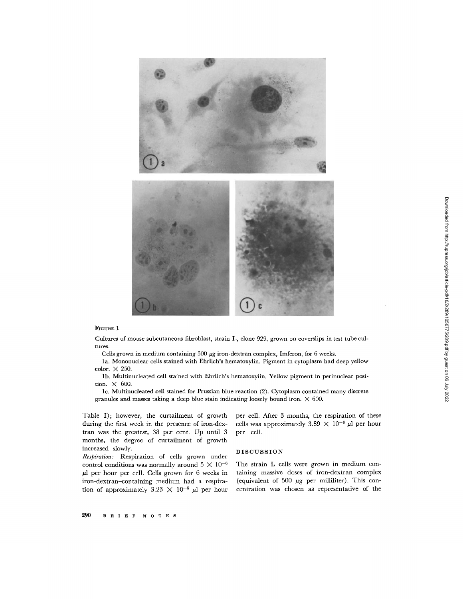

## **FIGURE 1**

Cultures of mouse subcutaneous fibroblast, strain L, clone 929, grown on coverslips in test tube cultures.

Cells grown in medium containing  $500 \mu$ g iron-dextran complex, Imferon, for 6 weeks.

la. Mononuclear cells stained with Ehrlich's hematoxylin. Pigment in cytoplasm had deep yellow color. X 250.

lb. Multinucleated cell stained with Ehrlieh's hematoxylin. Yellow pigment in perinuelear position.  $\times$  600.

lc. Multinucleated cell stained for Prussian blue reaction (2). Cytoplasm contained many discrete granules and masses taking a deep blue stain indicating loosely bound iron.  $\times$  600.

Table I); however, the curtailment of growth during the first week in the presence of iron-dextran was the greatest, 38 per cent. Up until 3 months, the degree of curtailment of growth increased slowly.

*Respiration:* Respiration of cells grown under control conditions was normally around  $5 \times 10^{-6}$  $\mu$ l per hour per cell. Cells grown for 6 weeks in iron-dextran-containing medium had a respiration of approximately 3.23  $\times$  10<sup>-6</sup>  $\mu$ l per hour per cell. After 3 months, the respiration of these cells was approximately 3.89  $\times$  10<sup>-6</sup>  $\mu$ l per hour per cell.

#### DISCUSSION

The strain L cells were grown in medium containing massive doses of iron-dextran complex (equivalent of 500  $\mu$ g per milliliter). This concentration was chosen as representative of the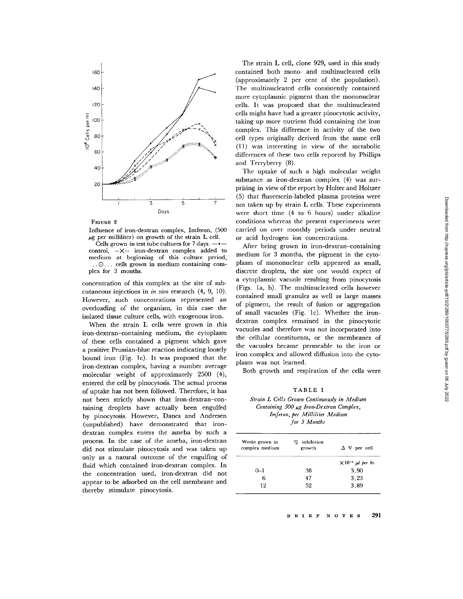

FIGURE 2

Influence of iron-dextran complex, Imferon, (500  $\mu$ g per milliliter) on growth of the strain L cell.

Cells grown in test tube cultures for  $7 \, \text{days}$ . control, --X-- iron-dextran complex added to medium at beginning of this culture period,  $\therefore$   $\odot$ ... cells grown in medium containing complex for 3 months.

concentration of this complex at the site of subcutaneous injections in *in vivo* research (4, 9, 10). However, such concentrations represented an overloading of the organism, in this case the isolated tissue culture cells, with exogenous iron.

When the strain L cells were grown in this iron-dextran-containing medium, the cytoplasm of these cells contained a pigment which gave a positive Prussian-blue reaction indicating loosely bound iron (Fig. lc). It was proposed that the iron-dextran complex, having a number average molecular weight of approximately 2500 (4), entered the cell by pinocytosis. The actual process of uptake has not been followed. Therefore, it has not been strictly shown that iron-dextran-containing droplets have actually been engulfed by pinocytosis. However, Danes and Andresen (unpublished) have demonstrated that irondextran complex enters the ameba by such a process. In the case of the ameba, iron-dextran did not stimulate pinocytosis and was taken up only as a natural outcome of the engulfing of fluid which contained iron-dextran complex. In the concentration used, iron-dextran did not appear to be adsorbed on the cell membrane and thereby stimulate pinocytosis.

The strain L cell, clone 929, used in this study contained both mono- and multinucleated cells (approximately 2 per cent of the population). The multinucleated cells consistently contained more cytoplasmic pigment than the mononuclear cells. It was proposed that the multinucleated cells might have had a greater pinoeytotic activity, taking up more nutrient fluid containing the iron complex. This difference in activity of the two cell types originally derived from the same cell (11) was interesting in view of the metabolic differences of these two cells reported by Phillips and Terryberry (8).

The uptake of such a high molecular weight substance as iron-dextran complex (4) was surprising in view of the report by Holter and Holtzer (5) that fluorescein-labeled plasma proteins were not taken up by strain L cells. These experiments were short time (4 to 6 hours) under alkaline conditions whereas the present experiments were carried on over monthly periods under neutral or acid hydrogen ion concentrations.

After being grown in iron-dextran-containing medium for 3 months, the pigment in the cytoplasm of mononuclear cells appeared as small, discrete droplets, the size one would expect of a cytoplasmic vacuole resulting from pinocytosis (Figs. la, b). The multinucleated cells however contained small granules as well as large masses of pigment, the result of fusion or aggregation of small vacuoles (Fig. Ic). Whether the irondextran complex remained in the pinocytotic vacuoles and therefore was not incorporated into the cellular constituents, or the membranes of the vacuoles became permeable to the iron or iron complex and allowed diffusion into the cytoplasm was not learned.

Both growth and respiration of the cells were

#### TABLE I

*Strain L Cells Grown Continuously in Medium Containing 500 µg Iron-Dextran Complex, Imferon, per Milliliter Medium for 3 Months* 

| inhibition<br>$\%$<br>growth | $\Delta$ V per cell              |
|------------------------------|----------------------------------|
|                              | $\times 10^{-6}$ $\mu l$ per hr. |
| 38                           | 3.90                             |
| 47                           | 3.23                             |
| 52                           | 3.89                             |
|                              |                                  |

## **B IR I E F N O T E S 291**